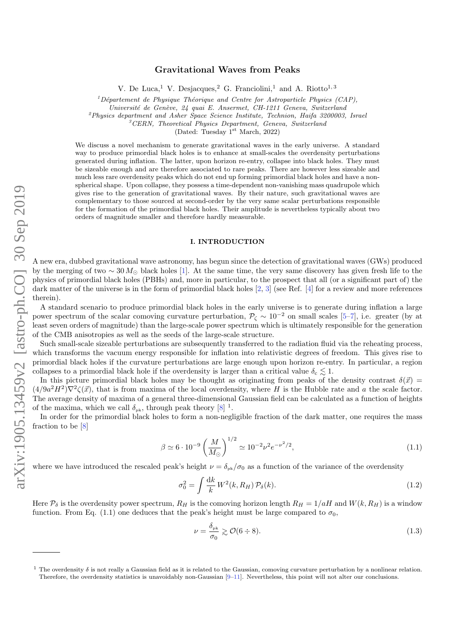# Gravitational Waves from Peaks

V. De Luca,<sup>1</sup> V. Desjacques,<sup>2</sup> G. Franciolini,<sup>1</sup> and A. Riotto<sup>1,3</sup>

 $1$ Département de Physique Théorique and Centre for Astroparticle Physics (CAP),

Université de Genève, 24 quai E. Ansermet, CH-1211 Geneva, Switzerland

 $^{2}$ Physics department and Asher Space Science Institute, Technion, Haifa 3200003, Israel

 ${}^{3}CERN$ , Theoretical Physics Department, Geneva, Switzerland

(Dated: Tuesday 1<sup>st</sup> March, 2022)

We discuss a novel mechanism to generate gravitational waves in the early universe. A standard way to produce primordial black holes is to enhance at small-scales the overdensity perturbations generated during inflation. The latter, upon horizon re-entry, collapse into black holes. They must be sizeable enough and are therefore associated to rare peaks. There are however less sizeable and much less rare overdensity peaks which do not end up forming primordial black holes and have a nonspherical shape. Upon collapse, they possess a time-dependent non-vanishing mass quadrupole which gives rise to the generation of gravitational waves. By their nature, such gravitational waves are complementary to those sourced at second-order by the very same scalar perturbations responsible for the formation of the primordial black holes. Their amplitude is nevertheless typically about two orders of magnitude smaller and therefore hardly measurable.

## I. INTRODUCTION

A new era, dubbed gravitational wave astronomy, has begun since the detection of gravitational waves (GWs) produced by the merging of two  $\sim 30 M_{\odot}$  black holes [\[1\]](#page-9-0). At the same time, the very same discovery has given fresh life to the physics of primordial black holes (PBHs) and, more in particular, to the prospect that all (or a significant part of) the dark matter of the universe is in the form of primordial black holes [\[2,](#page-9-1) [3\]](#page-9-2) (see Ref. [\[4\]](#page-9-3) for a review and more references therein).

A standard scenario to produce primordial black holes in the early universe is to generate during inflation a large power spectrum of the scalar comoving curvature perturbation,  $P_{\zeta} \sim 10^{-2}$  on small scales [\[5](#page-9-4)[–7\]](#page-9-5), i.e. greater (by at least seven orders of magnitude) than the large-scale power spectrum which is ultimately responsible for the generation of the CMB anisotropies as well as the seeds of the large-scale structure.

Such small-scale sizeable perturbations are subsequently transferred to the radiation fluid via the reheating process, which transforms the vacuum energy responsible for inflation into relativistic degrees of freedom. This gives rise to primordial black holes if the curvature perturbations are large enough upon horizon re-entry. In particular, a region collapses to a primordial black hole if the overdensity is larger than a critical value  $\delta_c \lesssim 1$ .

In this picture primordial black holes may be thought as originating from peaks of the density contrast  $\delta(\vec{x})$  =  $(4/9a^2H^2)\nabla^2\zeta(\vec{x})$ , that is from maxima of the local overdensity, where H is the Hubble rate and a the scale factor. The average density of maxima of a general three-dimensional Gaussian field can be calculated as a function of heights of the maxima, which we call  $\delta_{\rm pk}$ , through peak theory [\[8\]](#page-9-6) <sup>1</sup>.

In order for the primordial black holes to form a non-negligible fraction of the dark matter, one requires the mass fraction to be [\[8\]](#page-9-6)

<span id="page-0-0"></span>
$$
\beta \simeq 6 \cdot 10^{-9} \left(\frac{M}{M_{\odot}}\right)^{1/2} \simeq 10^{-2} \nu^2 e^{-\nu^2/2},\tag{1.1}
$$

where we have introduced the rescaled peak's height  $\nu = \delta_{\rm pk}/\sigma_0$  as a function of the variance of the overdensity

$$
\sigma_0^2 = \int \frac{\mathrm{d}k}{k} W^2(k, R_H) \mathcal{P}_\delta(k). \tag{1.2}
$$

Here  $P_{\delta}$  is the overdensity power spectrum,  $R_H$  is the comoving horizon length  $R_H = 1/aH$  and  $W(k, R_H)$  is a window function. From Eq. [\(1.1\)](#page-0-0) one deduces that the peak's height must be large compared to  $\sigma_0$ ,

$$
\nu = \frac{\delta_{\rm pk}}{\sigma_0} \gtrsim \mathcal{O}(6 \div 8). \tag{1.3}
$$

The overdensity  $\delta$  is not really a Gaussian field as it is related to the Gaussian, comoving curvature perturbation by a nonlinear relation. Therefore, the overdensity statistics is unavoidably non-Gaussian [\[9–](#page-9-7)[11\]](#page-9-8). Nevertheless, this point will not alter our conclusions.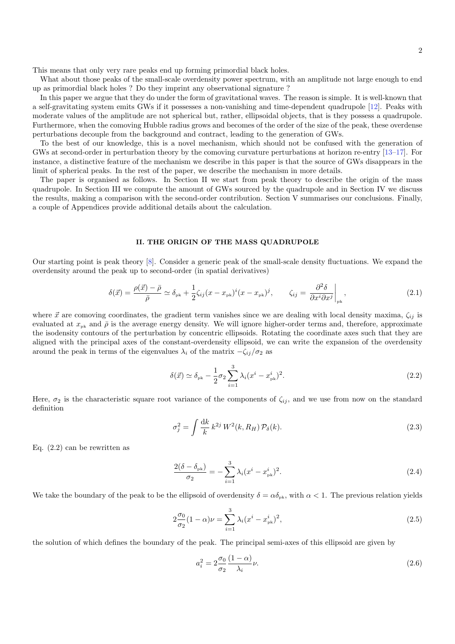This means that only very rare peaks end up forming primordial black holes.

What about those peaks of the small-scale overdensity power spectrum, with an amplitude not large enough to end up as primordial black holes ? Do they imprint any observational signature ?

In this paper we argue that they do under the form of gravitational waves. The reason is simple. It is well-known that a self-gravitating system emits GWs if it possesses a non-vanishing and time-dependent quadrupole [\[12\]](#page-9-9). Peaks with moderate values of the amplitude are not spherical but, rather, ellipsoidal objects, that is they possess a quadrupole. Furthermore, when the comoving Hubble radius grows and becomes of the order of the size of the peak, these overdense perturbations decouple from the background and contract, leading to the generation of GWs.

To the best of our knowledge, this is a novel mechanism, which should not be confused with the generation of GWs at second-order in perturbation theory by the comoving curvature perturbations at horizon re-entry [\[13–](#page-9-10)[17\]](#page-9-11). For instance, a distinctive feature of the mechanism we describe in this paper is that the source of GWs disappears in the limit of spherical peaks. In the rest of the paper, we describe the mechanism in more details.

The paper is organised as follows. In Section II we start from peak theory to describe the origin of the mass quadrupole. In Section III we compute the amount of GWs sourced by the quadrupole and in Section IV we discuss the results, making a comparison with the second-order contribution. Section V summarises our conclusions. Finally, a couple of Appendices provide additional details about the calculation.

### II. THE ORIGIN OF THE MASS QUADRUPOLE

Our starting point is peak theory [\[8\]](#page-9-6). Consider a generic peak of the small-scale density fluctuations. We expand the overdensity around the peak up to second-order (in spatial derivatives)

$$
\delta(\vec{x}) = \frac{\rho(\vec{x}) - \bar{\rho}}{\bar{\rho}} \simeq \delta_{\rm pk} + \frac{1}{2}\zeta_{ij}(x - x_{\rm pk})^i (x - x_{\rm pk})^j, \qquad \zeta_{ij} = \frac{\partial^2 \delta}{\partial x^i \partial x^j}\bigg|_{\rm pk},\tag{2.1}
$$

where  $\vec{x}$  are comoving coordinates, the gradient term vanishes since we are dealing with local density maxima,  $\zeta_{ii}$  is evaluated at  $x_{nk}$  and  $\bar{\rho}$  is the average energy density. We will ignore higher-order terms and, therefore, approximate the isodensity contours of the perturbation by concentric ellipsoids. Rotating the coordinate axes such that they are aligned with the principal axes of the constant-overdensity ellipsoid, we can write the expansion of the overdensity around the peak in terms of the eigenvalues  $\lambda_i$  of the matrix  $-\zeta_{ij}/\sigma_2$  as

<span id="page-1-0"></span>
$$
\delta(\vec{x}) \simeq \delta_{\rm pk} - \frac{1}{2}\sigma_2 \sum_{i=1}^3 \lambda_i (x^i - x^i_{\rm pk})^2.
$$
\n(2.2)

Here,  $\sigma_2$  is the characteristic square root variance of the components of  $\zeta_{ii}$ , and we use from now on the standard definition

$$
\sigma_j^2 = \int \frac{\mathrm{d}k}{k} \, k^{2j} \, W^2(k, R_H) \, \mathcal{P}_\delta(k). \tag{2.3}
$$

Eq. [\(2.2\)](#page-1-0) can be rewritten as

$$
\frac{2(\delta - \delta_{\rm pk})}{\sigma_2} = -\sum_{i=1}^3 \lambda_i (x^i - x^i_{\rm pk})^2.
$$
 (2.4)

We take the boundary of the peak to be the ellipsoid of overdensity  $\delta = \alpha \delta_{\text{pk}}$ , with  $\alpha < 1$ . The previous relation yields

$$
2\frac{\sigma_0}{\sigma_2}(1-\alpha)\nu = \sum_{i=1}^3 \lambda_i (x^i - x^i_{\rm pk})^2, \tag{2.5}
$$

the solution of which defines the boundary of the peak. The principal semi-axes of this ellipsoid are given by

$$
a_i^2 = 2\frac{\sigma_0}{\sigma_2} \frac{(1-\alpha)}{\lambda_i} \nu.
$$
\n(2.6)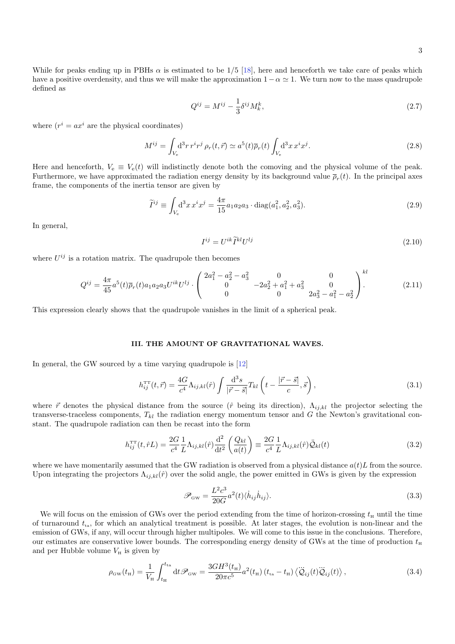$$
Q^{ij} = M^{ij} - \frac{1}{3} \delta^{ij} M_k^k, \tag{2.7}
$$

where  $(r^i = ax^i$  are the physical coordinates)

$$
M^{ij} = \int_{V_e} \mathrm{d}^3 r \, r^i r^j \, \rho_r(t, \vec{r}) \simeq a^5(t) \overline{\rho}_r(t) \int_{V_e} \mathrm{d}^3 x \, x^i x^j. \tag{2.8}
$$

Here and henceforth,  $V_e \equiv V_e(t)$  will indistinctly denote both the comoving and the physical volume of the peak. Furthermore, we have approximated the radiation energy density by its background value  $\bar{\rho}_r(t)$ . In the principal axes frame, the components of the inertia tensor are given by

$$
\widetilde{I}^{ij} \equiv \int_{V_e} d^3 x \, x^i x^j = \frac{4\pi}{15} a_1 a_2 a_3 \cdot \text{diag}(a_1^2, a_2^2, a_3^2). \tag{2.9}
$$

In general,

$$
I^{ij} = U^{ik} \widetilde{I}^{kl} U^{lj} \tag{2.10}
$$

where  $U^{ij}$  is a rotation matrix. The quadrupole then becomes

$$
Q^{ij} = \frac{4\pi}{45}a^5(t)\overline{\rho}_r(t)a_1a_2a_3U^{ik}U^{lj} \cdot \begin{pmatrix} 2a_1^2 - a_2^2 - a_3^2 & 0 & 0\\ 0 & -2a_2^2 + a_1^2 + a_3^2 & 0\\ 0 & 0 & 2a_3^2 - a_1^2 - a_2^2 \end{pmatrix}^{kl}.
$$
 (2.11)

This expression clearly shows that the quadrupole vanishes in the limit of a spherical peak.

#### III. THE AMOUNT OF GRAVITATIONAL WAVES.

In general, the GW sourced by a time varying quadrupole is [\[12\]](#page-9-9)

$$
h_{ij}^{\rm TT}(t, \vec{r}) = \frac{4G}{c^4} \Lambda_{ij,kl}(\hat{r}) \int \frac{\mathrm{d}^3 s}{|\vec{r} - \vec{s}|} T_{kl} \left( t - \frac{|\vec{r} - \vec{s}|}{c}, \vec{s} \right), \tag{3.1}
$$

where  $\vec{r}$  denotes the physical distance from the source ( $\hat{r}$  being its direction),  $\Lambda_{i,j,kl}$  the projector selecting the transverse-traceless components,  $T_{kl}$  the radiation energy momentum tensor and G the Newton's gravitational constant. The quadrupole radiation can then be recast into the form

$$
h_{ij}^{\rm TT}(t, \hat{r}L) = \frac{2G}{c^4} \frac{1}{L} \Lambda_{ij,kl}(\hat{r}) \frac{\mathrm{d}^2}{\mathrm{d}t^2} \left(\frac{Q_{kl}}{a(t)}\right) \equiv \frac{2G}{c^4} \frac{1}{L} \Lambda_{ij,kl}(\hat{r}) \ddot{Q}_{kl}(t) \tag{3.2}
$$

where we have momentarily assumed that the GW radiation is observed from a physical distance  $a(t)L$  from the source. Upon integrating the projectors  $\Lambda_{i,j,kl}(\hat{r})$  over the solid angle, the power emitted in GWs is given by the expression

$$
\mathcal{P}_{\rm GW} = \frac{L^2 c^3}{20G} a^2(t) \langle \dot{h}_{ij} \dot{h}_{ij} \rangle.
$$
\n(3.3)

We will focus on the emission of GWs over the period extending from the time of horizon-crossing  $t_H$  until the time of turnaround  $t_{\rm in}$ , for which an analytical treatment is possible. At later stages, the evolution is non-linear and the emission of GWs, if any, will occur through higher multipoles. We will come to this issue in the conclusions. Therefore, our estimates are conservative lower bounds. The corresponding energy density of GWs at the time of production  $t<sub>H</sub>$ and per Hubble volume  $V_H$  is given by

<span id="page-2-0"></span>
$$
\rho_{\rm GW}(t_{\rm H}) = \frac{1}{V_{\rm H}} \int_{t_{\rm H}}^{t_{\rm ta}} dt \mathcal{P}_{\rm GW} = \frac{3GH^3(t_{\rm H})}{20\pi c^5} a^2(t_{\rm H}) \left(t_{\rm ta} - t_{\rm H}\right) \langle \ddot{\mathcal{Q}}_{ij}(t) \ddot{\mathcal{Q}}_{ij}(t) \rangle, \tag{3.4}
$$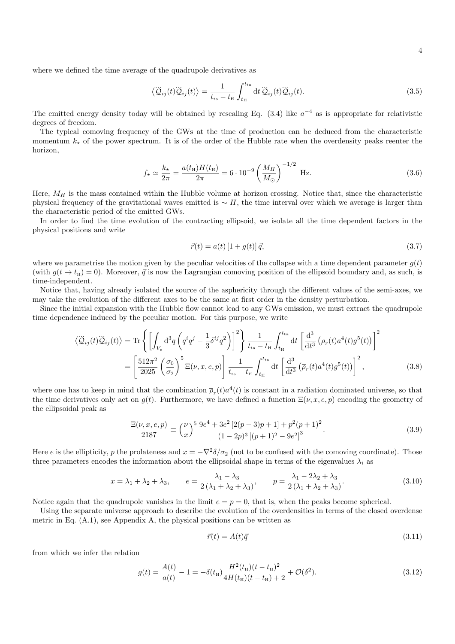where we defined the time average of the quadrupole derivatives as

$$
\langle \ddot{\mathcal{Q}}_{ij}(t)\ddot{\mathcal{Q}}_{ij}(t)\rangle = \frac{1}{t_{\text{ta}} - t_{\text{H}}} \int_{t_{\text{H}}}^{t_{\text{ta}}} dt \ddot{\mathcal{Q}}_{ij}(t)\ddot{\mathcal{Q}}_{ij}(t). \tag{3.5}
$$

The emitted energy density today will be obtained by rescaling Eq.  $(3.4)$  like  $a^{-4}$  as is appropriate for relativistic degrees of freedom.

The typical comoving frequency of the GWs at the time of production can be deduced from the characteristic momentum  $k_{\star}$  of the power spectrum. It is of the order of the Hubble rate when the overdensity peaks reenter the horizon,

$$
f_{\star} \simeq \frac{k_{\star}}{2\pi} = \frac{a(t_{\rm H})H(t_{\rm H})}{2\pi} = 6 \cdot 10^{-9} \left(\frac{M_H}{M_{\odot}}\right)^{-1/2} \text{ Hz.}
$$
 (3.6)

Here,  $M_H$  is the mass contained within the Hubble volume at horizon crossing. Notice that, since the characteristic physical frequency of the gravitational waves emitted is  $~ ∠ H$ , the time interval over which we average is larger than the characteristic period of the emitted GWs.

In order to find the time evolution of the contracting ellipsoid, we isolate all the time dependent factors in the physical positions and write

$$
\vec{r}(t) = a(t) \left[ 1 + g(t) \right] \vec{q},\tag{3.7}
$$

where we parametrise the motion given by the peculiar velocities of the collapse with a time dependent parameter  $g(t)$ (with  $g(t \to t_H) = 0$ ). Moreover,  $\vec{q}$  is now the Lagrangian comoving position of the ellipsoid boundary and, as such, is time-independent.

Notice that, having already isolated the source of the asphericity through the different values of the semi-axes, we may take the evolution of the different axes to be the same at first order in the density perturbation.

Since the initial expansion with the Hubble flow cannot lead to any GWs emission, we must extract the quadrupole time dependence induced by the peculiar motion. For this purpose, we write

$$
\langle \ddot{Q}_{ij}(t)\ddot{Q}_{ij}(t)\rangle = \text{Tr}\left\{ \left[ \int_{V_e} \mathrm{d}^3 q \left( q^i q^j - \frac{1}{3} \delta^{ij} q^2 \right) \right]^2 \right\} \frac{1}{t_{\text{ta}} - t_{\text{H}}} \int_{t_{\text{H}}}^{t_{\text{ta}}} \mathrm{d}t \left[ \frac{\mathrm{d}^3}{\mathrm{d}t^3} \left( \overline{\rho}_r(t) a^4(t) g^5(t) \right) \right]^2
$$

$$
= \left[ \frac{512\pi^2}{2025} \left( \frac{\sigma_0}{\sigma_2} \right)^5 \Xi(\nu, x, e, p) \right] \frac{1}{t_{\text{ta}} - t_{\text{H}}} \int_{t_{\text{H}}}^{t_{\text{ta}}} \mathrm{d}t \left[ \frac{\mathrm{d}^3}{\mathrm{d}t^3} \left( \overline{\rho}_r(t) a^4(t) g^5(t) \right) \right]^2, \tag{3.8}
$$

where one has to keep in mind that the combination  $\overline{\rho}_r(t)a^4(t)$  is constant in a radiation dominated universe, so that the time derivatives only act on  $q(t)$ . Furthermore, we have defined a function  $\Xi(\nu, x, e, p)$  encoding the geometry of the ellipsoidal peak as

$$
\frac{\Xi(\nu, x, e, p)}{2187} \equiv \left(\frac{\nu}{x}\right)^5 \frac{9e^4 + 3e^2 [2(p-3)p + 1] + p^2(p+1)^2}{(1-2p)^3 [(p+1)^2 - 9e^2]^3}.
$$
\n(3.9)

Here e is the ellipticity, p the prolateness and  $x = -\nabla^2 \delta / \sigma_2$  (not to be confused with the comoving coordinate). Those three parameters encodes the information about the ellipsoidal shape in terms of the eigenvalues  $\lambda_i$  as

$$
x = \lambda_1 + \lambda_2 + \lambda_3, \qquad e = \frac{\lambda_1 - \lambda_3}{2(\lambda_1 + \lambda_2 + \lambda_3)}, \qquad p = \frac{\lambda_1 - 2\lambda_2 + \lambda_3}{2(\lambda_1 + \lambda_2 + \lambda_3)}.
$$
\n
$$
(3.10)
$$

Notice again that the quadrupole vanishes in the limit  $e = p = 0$ , that is, when the peaks become spherical.

Using the separate universe approach to describe the evolution of the overdensities in terms of the closed overdense metric in Eq. [\(A.1\)](#page-8-0), see Appendix A, the physical positions can be written as

$$
\vec{r}(t) = A(t)\vec{q} \tag{3.11}
$$

from which we infer the relation

$$
g(t) = \frac{A(t)}{a(t)} - 1 = -\delta(t_{\rm H}) \frac{H^2(t_{\rm H})(t - t_{\rm H})^2}{4H(t_{\rm H})(t - t_{\rm H}) + 2} + \mathcal{O}(\delta^2). \tag{3.12}
$$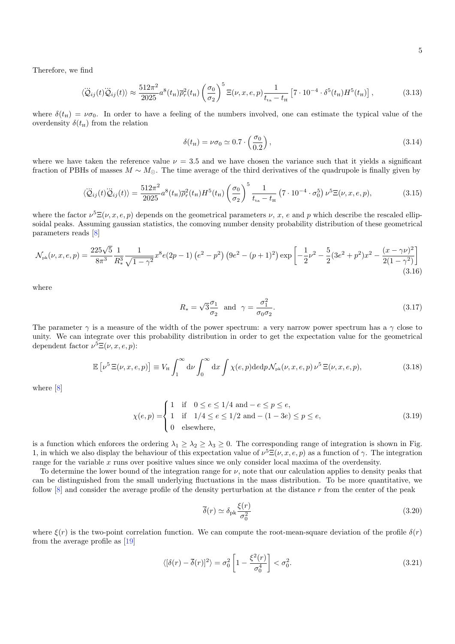Therefore, we find

$$
\langle \ddot{Q}_{ij}(t)\ddot{Q}_{ij}(t)\rangle \approx \frac{512\pi^2}{2025}a^8(t_{\rm H})\overline{\rho}_r^2(t_{\rm H})\left(\frac{\sigma_0}{\sigma_2}\right)^5 \Xi(\nu, x, e, p)\frac{1}{t_{\rm ta} - t_{\rm H}}\left[7 \cdot 10^{-4} \cdot \delta^5(t_{\rm H})H^5(t_{\rm H})\right],\tag{3.13}
$$

where  $\delta(t_{\rm H}) = \nu \sigma_0$ . In order to have a feeling of the numbers involved, one can estimate the typical value of the overdensity  $\delta(t_{\rm H})$  from the relation

$$
\delta(t_{\rm H}) = \nu \sigma_0 \simeq 0.7 \cdot \left(\frac{\sigma_0}{0.2}\right),\tag{3.14}
$$

where we have taken the reference value  $\nu = 3.5$  and we have chosen the variance such that it yields a significant fraction of PBHs of masses  $M \sim M_{\odot}$ . The time average of the third derivatives of the quadrupole is finally given by

$$
\langle \ddot{Q}_{ij}(t)\ddot{Q}_{ij}(t)\rangle = \frac{512\pi^2}{2025}a^8(t_{\rm H})\overline{\rho}_r^2(t_{\rm H})H^5(t_{\rm H})\left(\frac{\sigma_0}{\sigma_2}\right)^5 \frac{1}{t_{\rm ta} - t_{\rm H}}\left(7 \cdot 10^{-4} \cdot \sigma_0^5\right) \nu^5 \Xi(\nu, x, e, p),\tag{3.15}
$$

where the factor  $\nu^5 \Xi(\nu, x, e, p)$  depends on the geometrical parameters  $\nu, x, e$  and p which describe the rescaled ellipsoidal peaks. Assuming gaussian statistics, the comoving number density probability distribution of these geometrical parameters reads [\[8\]](#page-9-6)

$$
\mathcal{N}_{\rm pk}(\nu, x, e, p) = \frac{225\sqrt{5}}{8\pi^3} \frac{1}{R_*^3} \frac{1}{\sqrt{1-\gamma^2}} x^8 e(2p-1) \left(e^2 - p^2\right) \left(9e^2 - (p+1)^2\right) \exp\left[-\frac{1}{2}\nu^2 - \frac{5}{2}(3e^2 + p^2)x^2 - \frac{(x-\gamma\nu)^2}{2(1-\gamma^2)}\right] \tag{3.16}
$$

where

<span id="page-4-0"></span>
$$
R_* = \sqrt{3}\frac{\sigma_1}{\sigma_2} \quad \text{and} \quad \gamma = \frac{\sigma_1^2}{\sigma_0 \sigma_2}.\tag{3.17}
$$

The parameter  $\gamma$  is a measure of the width of the power spectrum: a very narrow power spectrum has a  $\gamma$  close to unity. We can integrate over this probability distribution in order to get the expectation value for the geometrical dependent factor  $\nu^5 \Xi(\nu, x, e, p)$ :

$$
\mathbb{E}\left[\nu^{5}\,\Xi(\nu,x,e,p)\right] \equiv V_{\rm H} \int_{1}^{\infty} \mathrm{d}\nu \int_{0}^{\infty} \mathrm{d}x \int \chi(e,p) \mathrm{d}e \mathrm{d}p \mathcal{N}_{\rm pk}(\nu,x,e,p) \,\nu^{5}\,\Xi(\nu,x,e,p), \tag{3.18}
$$

where [\[8\]](#page-9-6)

$$
\chi(e, p) = \begin{cases} 1 & \text{if } 0 \le e \le 1/4 \text{ and } -e \le p \le e, \\ 1 & \text{if } 1/4 \le e \le 1/2 \text{ and } - (1 - 3e) \le p \le e, \\ 0 & \text{elsewhere,} \end{cases}
$$
(3.19)

is a function which enforces the ordering  $\lambda_1 \geq \lambda_2 \geq \lambda_3 \geq 0$ . The corresponding range of integration is shown in Fig. [1,](#page-5-0) in which we also display the behaviour of this expectation value of  $\nu^5 \Xi(\nu, x, e, p)$  as a function of  $\gamma$ . The integration range for the variable  $x$  runs over positive values since we only consider local maxima of the overdensity.

To determine the lower bound of the integration range for  $\nu$ , note that our calculation applies to density peaks that can be distinguished from the small underlying fluctuations in the mass distribution. To be more quantitative, we follow  $[8]$  and consider the average profile of the density perturbation at the distance r from the center of the peak

$$
\overline{\delta}(r) \simeq \delta_{\rm pk} \frac{\xi(r)}{\sigma_0^2} \tag{3.20}
$$

where  $\xi(r)$  is the two-point correlation function. We can compute the root-mean-square deviation of the profile  $\delta(r)$ from the average profile as [\[19\]](#page-9-13)

$$
\langle [\delta(r) - \overline{\delta}(r)]^2 \rangle = \sigma_0^2 \left[ 1 - \frac{\xi^2(r)}{\sigma_0^4} \right] < \sigma_0^2. \tag{3.21}
$$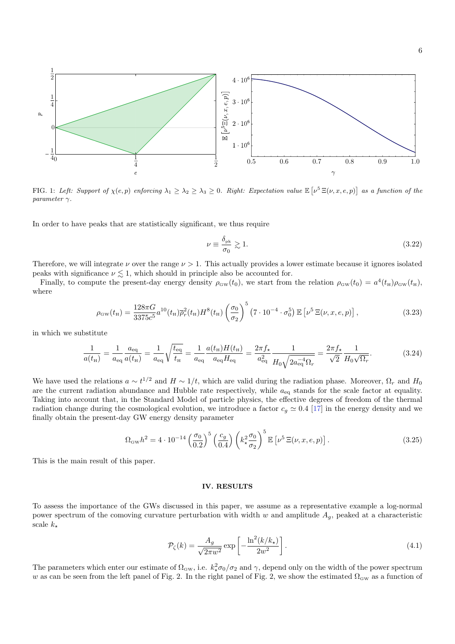

<span id="page-5-0"></span>FIG. 1: Left: Support of  $\chi(e, p)$  enforcing  $\lambda_1 \geq \lambda_2 \geq \lambda_3 \geq 0$ . Right: Expectation value  $\mathbb{E} \left[ \nu^5 \Xi(\nu, x, e, p) \right]$  as a function of the parameter  $\gamma$ .

In order to have peaks that are statistically significant, we thus require

$$
\nu \equiv \frac{\delta_{\rm pk}}{\sigma_0} \gtrsim 1. \tag{3.22}
$$

Therefore, we will integrate  $\nu$  over the range  $\nu > 1$ . This actually provides a lower estimate because it ignores isolated peaks with significance  $\nu \lesssim 1$ , which should in principle also be accounted for.

Finally, to compute the present-day energy density  $\rho_{\rm GW}(t_0)$ , we start from the relation  $\rho_{\rm GW}(t_0) = a^4(t_{\rm H})\rho_{\rm GW}(t_{\rm H})$ , where

$$
\rho_{\rm GW}(t_{\rm H}) = \frac{128\pi G}{3375c^5} a^{10}(t_{\rm H}) \overline{\rho}_r^2(t_{\rm H}) H^8(t_{\rm H}) \left(\frac{\sigma_0}{\sigma_2}\right)^5 \left(7 \cdot 10^{-4} \cdot \sigma_0^5\right) \mathbb{E} \left[\nu^5 \Xi(\nu, x, e, p)\right],\tag{3.23}
$$

in which we substitute

$$
\frac{1}{a(t_{\rm H})} = \frac{1}{a_{\rm eq}} \frac{a_{\rm eq}}{a(t_{\rm H})} = \frac{1}{a_{\rm eq}} \sqrt{\frac{t_{\rm eq}}{t_{\rm H}}} = \frac{1}{a_{\rm eq}} \frac{a(t_{\rm H})H(t_{\rm H})}{a_{\rm eq}H_{\rm eq}} = \frac{2\pi f_{\star}}{a_{\rm eq}^2} \frac{1}{H_0 \sqrt{2a_{\rm eq}^{-4}\Omega_r}} = \frac{2\pi f_{\star}}{\sqrt{2}} \frac{1}{H_0 \sqrt{\Omega_r}}.
$$
(3.24)

We have used the relations  $a \sim t^{1/2}$  and  $H \sim 1/t$ , which are valid during the radiation phase. Moreover,  $\Omega_r$  and  $H_0$ are the current radiation abundance and Hubble rate respectively, while  $a_{eq}$  stands for the scale factor at equality. Taking into account that, in the Standard Model of particle physics, the effective degrees of freedom of the thermal radiation change during the cosmological evolution, we introduce a factor  $c_g \simeq 0.4$  [\[17\]](#page-9-11) in the energy density and we finally obtain the present-day GW energy density parameter

$$
\Omega_{\rm GW}h^2 = 4 \cdot 10^{-14} \left(\frac{\sigma_0}{0.2}\right)^5 \left(\frac{c_g}{0.4}\right) \left(k_\star^2 \frac{\sigma_0}{\sigma_2}\right)^5 \mathbb{E}\left[\nu^5 \Xi(\nu, x, e, p)\right].\tag{3.25}
$$

This is the main result of this paper.

## IV. RESULTS

To assess the importance of the GWs discussed in this paper, we assume as a representative example a log-normal power spectrum of the comoving curvature perturbation with width w and amplitude  $A_q$ , peaked at a characteristic scale  $k_{\star}$ 

<span id="page-5-1"></span>
$$
\mathcal{P}_{\zeta}(k) = \frac{A_g}{\sqrt{2\pi w^2}} \exp\left[-\frac{\ln^2(k/k_\star)}{2w^2}\right].\tag{4.1}
$$

The parameters which enter our estimate of  $\Omega_{\rm GW}$ , i.e.  $k_{\star}^2 \sigma_0/\sigma_2$  and  $\gamma$ , depend only on the width of the power spectrum w as can be seen from the left panel of Fig. [2.](#page-6-0) In the right panel of Fig. [2,](#page-6-0) we show the estimated  $\Omega_{\rm GW}$  as a function of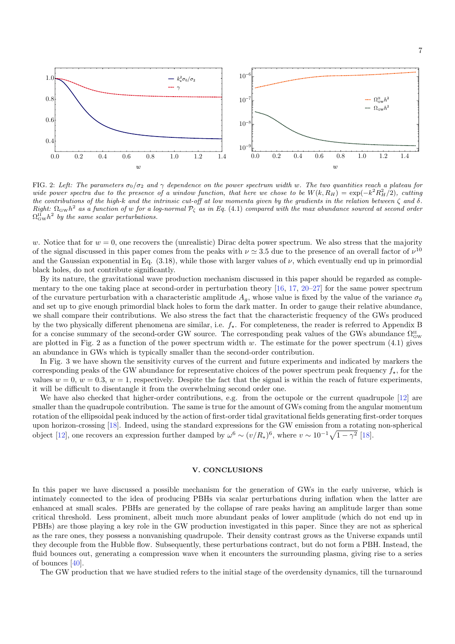

7



<span id="page-6-0"></span>FIG. 2: Left: The parameters  $\sigma_0/\sigma_2$  and  $\gamma$  dependence on the power spectrum width w. The two quantities reach a plateau for wide power spectra due to the presence of a window function, that here we chose to be  $W(k, R_H) = \exp(-k^2 R_H^2/2)$ , cutting the contributions of the high-k and the intrinsic cut-off at low momenta given by the gradients in the relation between  $\zeta$  and  $\delta$ . Right:  $\Omega_{\rm GW}h^2$  as a function of w for a log-normal  $\mathcal{P}_{\zeta}$  as in Eq. [\(4.1\)](#page-5-1) compared with the max abundance sourced at second order  $\Omega_{\rm GW}^{\rm II} h^2$  by the same scalar perturbations.

w. Notice that for  $w = 0$ , one recovers the (unrealistic) Dirac delta power spectrum. We also stress that the majority of the signal discussed in this paper comes from the peaks with  $\nu \approx 3.5$  due to the presence of an overall factor of  $\nu^{10}$ and the Gaussian exponential in Eq.  $(3.18)$ , while those with larger values of  $\nu$ , which eventually end up in primordial black holes, do not contribute significantly.

By its nature, the gravitational wave production mechanism discussed in this paper should be regarded as complementary to the one taking place at second-order in perturbation theory  $[16, 17, 20-27]$  $[16, 17, 20-27]$  $[16, 17, 20-27]$  $[16, 17, 20-27]$  $[16, 17, 20-27]$  for the same power spectrum of the curvature perturbation with a characteristic amplitude  $A_q$ , whose value is fixed by the value of the variance  $\sigma_0$ and set up to give enough primordial black holes to form the dark matter. In order to gauge their relative abundance, we shall compare their contributions. We also stress the fact that the characteristic frequency of the GWs produced by the two physically different phenomena are similar, i.e.  $f_{\star}$ . For completeness, the reader is referred to Appendix B for a concise summary of the second-order GW source. The corresponding peak values of the GWs abundance  $\Omega_{\rm GW}^{\rm II}$ are plotted in Fig. [2](#page-6-0) as a function of the power spectrum width  $w$ . The estimate for the power spectrum  $(4.1)$  gives an abundance in GWs which is typically smaller than the second-order contribution.

In Fig. [3](#page-7-0) we have shown the sensitivity curves of the current and future experiments and indicated by markers the corresponding peaks of the GW abundance for representative choices of the power spectrum peak frequency  $f_{\star}$ , for the values  $w = 0$ ,  $w = 0.3$ ,  $w = 1$ , respectively. Despite the fact that the signal is within the reach of future experiments, it will be difficult to disentangle it from the overwhelming second order one.

We have also checked that higher-order contributions, e.g. from the octupole or the current quadrupole [\[12\]](#page-9-9) are smaller than the quadrupole contribution. The same is true for the amount of GWs coming from the angular momentum rotation of the ellipsoidal peak induced by the action of first-order tidal gravitational fields generating first-order torques upon horizon-crossing [\[18\]](#page-9-12). Indeed, using the standard expressions for the GW emission from a rotating non-spherical object [\[12\]](#page-9-9), one recovers an expression further damped by  $\omega^6 \sim (v/R_*)^6$ , where  $v \sim 10^{-1} \sqrt{1-\gamma^2}$  [\[18\]](#page-9-12).

### V. CONCLUSIONS

In this paper we have discussed a possible mechanism for the generation of GWs in the early universe, which is intimately connected to the idea of producing PBHs via scalar perturbations during inflation when the latter are enhanced at small scales. PBHs are generated by the collapse of rare peaks having an amplitude larger than some critical threshold. Less prominent, albeit much more abundant peaks of lower amplitude (which do not end up in PBHs) are those playing a key role in the GW production investigated in this paper. Since they are not as spherical as the rare ones, they possess a nonvanishing quadrupole. Their density contrast grows as the Universe expands until they decouple from the Hubble flow. Subsequently, these perturbations contract, but do not form a PBH. Instead, the fluid bounces out, generating a compression wave when it encounters the surrounding plasma, giving rise to a series of bounces [\[40\]](#page-9-17).

The GW production that we have studied refers to the initial stage of the overdensity dynamics, till the turnaround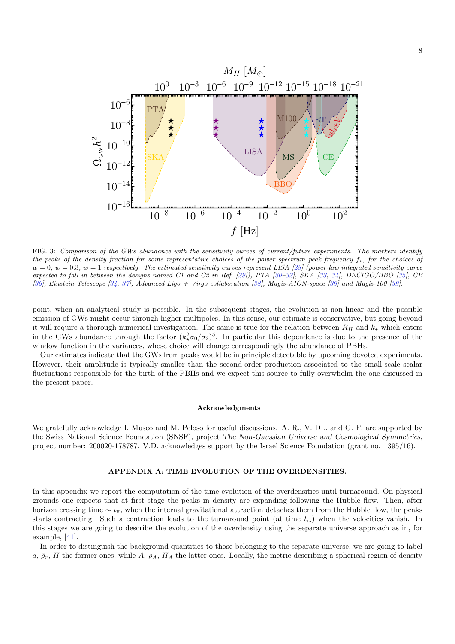8



<span id="page-7-0"></span>FIG. 3: Comparison of the GWs abundance with the sensitivity curves of current/future experiments. The markers identify the peaks of the density fraction for some representative choices of the power spectrum peak frequency  $f_{\star}$ , for the choices of  $w = 0$ ,  $w = 0.3$ ,  $w = 1$  respectively. The estimated sensitivity curves represent LISA [\[28\]](#page-9-18) (power-law integrated sensitivity curve expected to fall in between the designs named C1 and C2 in Ref. [\[29\]](#page-9-19)), PTA [30-[32\]](#page-9-21), SKA [\[33,](#page-9-22) [34\]](#page-9-23), DECIGO/BBO [\[35\]](#page-9-24), CE [\[36\]](#page-9-25), Einstein Telescope [\[34,](#page-9-23) [37\]](#page-9-26), Advanced Ligo + Virgo collaboration [\[38\]](#page-9-27), Magis-AION-space [\[39\]](#page-9-28) and Magis-100 [\[39\]](#page-9-28).

point, when an analytical study is possible. In the subsequent stages, the evolution is non-linear and the possible emission of GWs might occur through higher multipoles. In this sense, our estimate is conservative, but going beyond it will require a thorough numerical investigation. The same is true for the relation between  $R_H$  and  $k_{\star}$  which enters in the GWs abundance through the factor  $(k_x^2 \sigma_0/\sigma_2)^5$ . In particular this dependence is due to the presence of the window function in the variances, whose choice will change correspondingly the abundance of PBHs.

Our estimates indicate that the GWs from peaks would be in principle detectable by upcoming devoted experiments. However, their amplitude is typically smaller than the second-order production associated to the small-scale scalar fluctuations responsible for the birth of the PBHs and we expect this source to fully overwhelm the one discussed in the present paper.

## Acknowledgments

We gratefully acknowledge I. Musco and M. Peloso for useful discussions. A. R., V. DL. and G. F. are supported by the Swiss National Science Foundation (SNSF), project The Non-Gaussian Universe and Cosmological Symmetries, project number: 200020-178787. V.D. acknowledges support by the Israel Science Foundation (grant no. 1395/16).

#### APPENDIX A: TIME EVOLUTION OF THE OVERDENSITIES.

In this appendix we report the computation of the time evolution of the overdensities until turnaround. On physical grounds one expects that at first stage the peaks in density are expanding following the Hubble flow. Then, after horizon crossing time  $\sim t_{\rm H}$ , when the internal gravitational attraction detaches them from the Hubble flow, the peaks starts contracting. Such a contraction leads to the turnaround point (at time  $t_{\text{ta}}$ ) when the velocities vanish. In this stages we are going to describe the evolution of the overdensity using the separate universe approach as in, for example, [\[41\]](#page-9-29).

In order to distinguish the background quantities to those belonging to the separate universe, we are going to label a,  $\bar{\rho}_r$ , H the former ones, while A,  $\rho_A$ , H<sub>A</sub> the latter ones. Locally, the metric describing a spherical region of density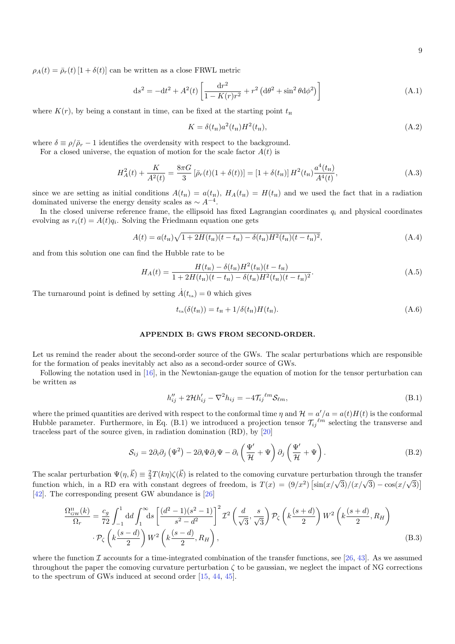9

 $\rho_A(t) = \bar{\rho}_r(t) [1 + \delta(t)]$  can be written as a close FRWL metric

<span id="page-8-0"></span>
$$
ds^{2} = -dt^{2} + A^{2}(t) \left[ \frac{dr^{2}}{1 - K(r)r^{2}} + r^{2} \left( d\theta^{2} + \sin^{2}\theta d\phi^{2} \right) \right]
$$
 (A.1)

where  $K(r)$ , by being a constant in time, can be fixed at the starting point  $t<sub>H</sub>$ 

$$
K = \delta(t_{\rm H}) a^2(t_{\rm H}) H^2(t_{\rm H}), \tag{A.2}
$$

where  $\delta \equiv \rho/\bar{\rho}_r - 1$  identifies the overdensity with respect to the background.

For a closed universe, the equation of motion for the scale factor  $A(t)$  is

$$
H_A^2(t) + \frac{K}{A^2(t)} = \frac{8\pi G}{3} \left[ \bar{\rho}_r(t)(1 + \delta(t)) \right] = \left[ 1 + \delta(t_\text{H}) \right] H^2(t_\text{H}) \frac{a^4(t_\text{H})}{A^4(t)},\tag{A.3}
$$

since we are setting as initial conditions  $A(t_{\rm H}) = a(t_{\rm H})$ ,  $H_A(t_{\rm H}) = H(t_{\rm H})$  and we used the fact that in a radiation dominated universe the energy density scales as  $\sim A^{-4}$ .

In the closed universe reference frame, the ellipsoid has fixed Lagrangian coordinates  $q_i$  and physical coordinates evolving as  $r_i(t) = A(t)q_i$ . Solving the Friedmann equation one gets

$$
A(t) = a(t_{\rm H})\sqrt{1 + 2H(t_{\rm H})(t - t_{\rm H}) - \delta(t_{\rm H})H^2(t_{\rm H})(t - t_{\rm H})^2},
$$
\n(A.4)

and from this solution one can find the Hubble rate to be

$$
H_A(t) = \frac{H(t_{\rm H}) - \delta(t_{\rm H})H^2(t_{\rm H})(t - t_{\rm H})}{1 + 2H(t_{\rm H})(t - t_{\rm H}) - \delta(t_{\rm H})H^2(t_{\rm H})(t - t_{\rm H})^2}.
$$
(A.5)

The turnaround point is defined by setting  $\dot{A}(t_{\text{ta}}) = 0$  which gives

$$
t_{\rm ta}(\delta(t_{\rm H})) = t_{\rm H} + 1/\delta(t_{\rm H})H(t_{\rm H}).\tag{A.6}
$$

#### APPENDIX B: GWS FROM SECOND-ORDER.

Let us remind the reader about the second-order source of the GWs. The scalar perturbations which are responsible for the formation of peaks inevitably act also as a second-order source of GWs.

Following the notation used in [\[16\]](#page-9-14), in the Newtonian-gauge the equation of motion for the tensor perturbation can be written as

$$
h_{ij}^{\prime\prime} + 2\mathcal{H}h_{ij}^{\prime} - \nabla^2 h_{ij} = -4\mathcal{T}_{ij}^{\ell m} \mathcal{S}_{\ell m},\tag{B.1}
$$

where the primed quantities are derived with respect to the conformal time  $\eta$  and  $\mathcal{H} = a'/a = a(t)H(t)$  is the conformal Hubble parameter. Furthermore, in Eq. [\(B.1\)](#page-8-0) we introduced a projection tensor  $\mathcal{T}_{ij}^{\ell m}$  selecting the transverse and traceless part of the source given, in radiation domination (RD), by [\[20\]](#page-9-15)

$$
S_{ij} = 2\partial_i \partial_j \left( \Psi^2 \right) - 2\partial_i \Psi \partial_j \Psi - \partial_i \left( \frac{\Psi'}{\mathcal{H}} + \Psi \right) \partial_j \left( \frac{\Psi'}{\mathcal{H}} + \Psi \right). \tag{B.2}
$$

The scalar perturbation  $\Psi(\eta,\vec{k}) \equiv \frac{2}{3}T(k\eta)\zeta(\vec{k})$  is related to the comoving curvature perturbation through the transfer function which, in a RD era with constant degrees of freedom, is  $T(x) = (9/x^2)$  $\sin(x/\sqrt{3})/(x/\sqrt{3}) - \cos(x/\sqrt{3})$ [\[42\]](#page-9-30). The corresponding present GW abundance is [\[26\]](#page-9-31)

$$
\frac{\Omega_{\text{GW}}^{\text{II}}(k)}{\Omega_r} = \frac{c_g}{72} \int_{-1}^1 \text{d}d \int_1^\infty \text{d}s \left[ \frac{(d^2 - 1)(s^2 - 1)}{s^2 - d^2} \right]^2 \mathcal{I}^2 \left( \frac{d}{\sqrt{3}}, \frac{s}{\sqrt{3}} \right) \mathcal{P}_\zeta \left( k \frac{(s+d)}{2} \right) W^2 \left( k \frac{(s+d)}{2}, R_H \right)
$$
\n
$$
\cdot \mathcal{P}_\zeta \left( k \frac{(s-d)}{2} \right) W^2 \left( k \frac{(s-d)}{2}, R_H \right), \tag{B.3}
$$

where the function I accounts for a time-integrated combination of the transfer functions, see [\[26,](#page-9-31) [43\]](#page-9-32). As we assumed throughout the paper the comoving curvature perturbation  $\zeta$  to be gaussian, we neglect the impact of NG corrections to the spectrum of GWs induced at second order [\[15,](#page-9-33) [44,](#page-9-34) [45\]](#page-9-35).